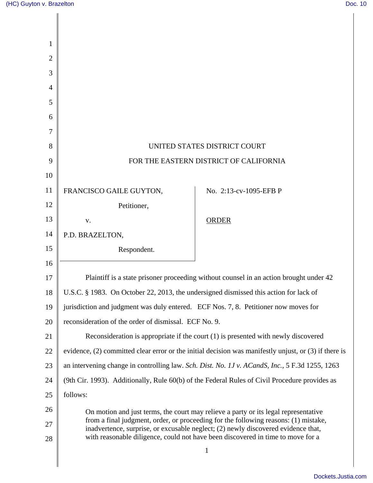| Plaintiff is a state prisoner proceeding without counsel in an action brought under 42                                                                                    |
|---------------------------------------------------------------------------------------------------------------------------------------------------------------------------|
|                                                                                                                                                                           |
|                                                                                                                                                                           |
|                                                                                                                                                                           |
|                                                                                                                                                                           |
| evidence, $(2)$ committed clear error or the initial decision was manifestly unjust, or $(3)$ if there is                                                                 |
| an intervening change in controlling law. Sch. Dist. No. 1J v. ACandS, Inc., 5 F.3d 1255, 1263                                                                            |
| (9th Cir. 1993). Additionally, Rule 60(b) of the Federal Rules of Civil Procedure provides as                                                                             |
|                                                                                                                                                                           |
|                                                                                                                                                                           |
| from a final judgment, order, or proceeding for the following reasons: (1) mistake,<br>inadvertence, surprise, or excusable neglect; (2) newly discovered evidence that,  |
|                                                                                                                                                                           |
|                                                                                                                                                                           |
| Reconsideration is appropriate if the court (1) is presented with newly discovered<br>On motion and just terms, the court may relieve a party or its legal representative |